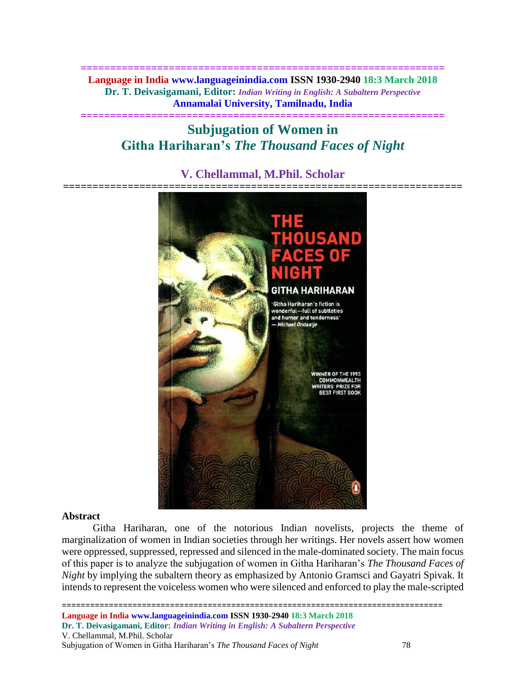**============================================================== Language in India www.languageinindia.com ISSN 1930-2940 18:3 March 2018 Dr. T. Deivasigamani, Editor:** *Indian Writing in English: A Subaltern Perspective* **Annamalai University, Tamilnadu, India**

**==============================================================**

# **Subjugation of Women in Githa Hariharan's** *The Thousand Faces of Night*

# **V. Chellammal, M.Phil. Scholar**



#### **Abstract**

Githa Hariharan, one of the notorious Indian novelists, projects the theme of marginalization of women in Indian societies through her writings. Her novels assert how women were oppressed, suppressed, repressed and silenced in the male-dominated society. The main focus of this paper is to analyze the subjugation of women in Githa Hariharan's *The Thousand Faces of Night* by implying the subaltern theory as emphasized by Antonio Gramsci and Gayatri Spivak. It intends to represent the voiceless women who were silenced and enforced to play the male-scripted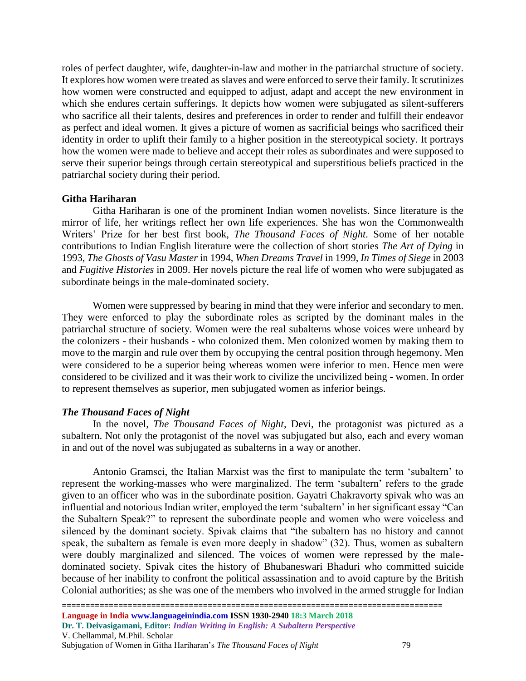roles of perfect daughter, wife, daughter-in-law and mother in the patriarchal structure of society. It explores how women were treated as slaves and were enforced to serve their family. It scrutinizes how women were constructed and equipped to adjust, adapt and accept the new environment in which she endures certain sufferings. It depicts how women were subjugated as silent-sufferers who sacrifice all their talents, desires and preferences in order to render and fulfill their endeavor as perfect and ideal women. It gives a picture of women as sacrificial beings who sacrificed their identity in order to uplift their family to a higher position in the stereotypical society. It portrays how the women were made to believe and accept their roles as subordinates and were supposed to serve their superior beings through certain stereotypical and superstitious beliefs practiced in the patriarchal society during their period.

# **Githa Hariharan**

Githa Hariharan is one of the prominent Indian women novelists. Since literature is the mirror of life, her writings reflect her own life experiences. She has won the Commonwealth Writers' Prize for her best first book, *The Thousand Faces of Night.* Some of her notable contributions to Indian English literature were the collection of short stories *The Art of Dying* in 1993, *The Ghosts of Vasu Master* in 1994, *When Dreams Travel* in 1999, *In Times of Siege* in 2003 and *Fugitive Histories* in 2009. Her novels picture the real life of women who were subjugated as subordinate beings in the male-dominated society.

Women were suppressed by bearing in mind that they were inferior and secondary to men. They were enforced to play the subordinate roles as scripted by the dominant males in the patriarchal structure of society. Women were the real subalterns whose voices were unheard by the colonizers - their husbands - who colonized them. Men colonized women by making them to move to the margin and rule over them by occupying the central position through hegemony. Men were considered to be a superior being whereas women were inferior to men. Hence men were considered to be civilized and it was their work to civilize the uncivilized being - women. In order to represent themselves as superior, men subjugated women as inferior beings.

#### *The Thousand Faces of Night*

In the novel, *The Thousand Faces of Night*, Devi, the protagonist was pictured as a subaltern. Not only the protagonist of the novel was subjugated but also, each and every woman in and out of the novel was subjugated as subalterns in a way or another.

Antonio Gramsci, the Italian Marxist was the first to manipulate the term 'subaltern' to represent the working-masses who were marginalized. The term 'subaltern' refers to the grade given to an officer who was in the subordinate position. Gayatri Chakravorty spivak who was an influential and notorious Indian writer, employed the term 'subaltern' in her significant essay "Can the Subaltern Speak?" to represent the subordinate people and women who were voiceless and silenced by the dominant society. Spivak claims that "the subaltern has no history and cannot speak, the subaltern as female is even more deeply in shadow" (32). Thus, women as subaltern were doubly marginalized and silenced. The voices of women were repressed by the maledominated society. Spivak cites the history of Bhubaneswari Bhaduri who committed suicide because of her inability to confront the political assassination and to avoid capture by the British Colonial authorities; as she was one of the members who involved in the armed struggle for Indian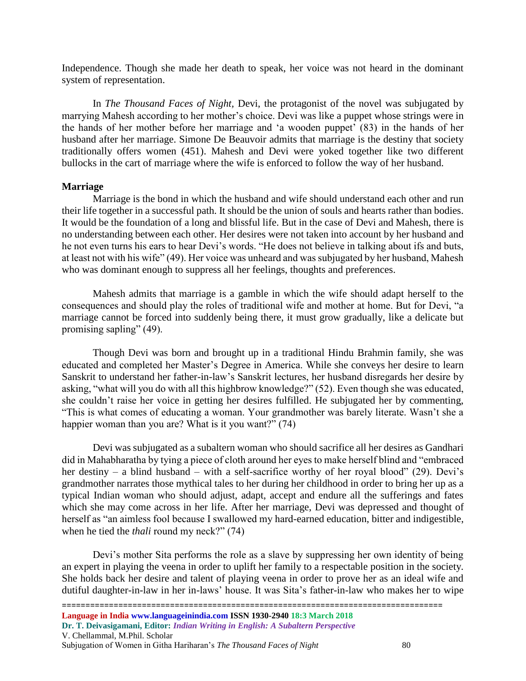Independence. Though she made her death to speak, her voice was not heard in the dominant system of representation.

In *The Thousand Faces of Night,* Devi, the protagonist of the novel was subjugated by marrying Mahesh according to her mother's choice. Devi was like a puppet whose strings were in the hands of her mother before her marriage and 'a wooden puppet' (83) in the hands of her husband after her marriage. Simone De Beauvoir admits that marriage is the destiny that society traditionally offers women (451). Mahesh and Devi were yoked together like two different bullocks in the cart of marriage where the wife is enforced to follow the way of her husband.

# **Marriage**

Marriage is the bond in which the husband and wife should understand each other and run their life together in a successful path. It should be the union of souls and hearts rather than bodies. It would be the foundation of a long and blissful life. But in the case of Devi and Mahesh, there is no understanding between each other. Her desires were not taken into account by her husband and he not even turns his ears to hear Devi's words. "He does not believe in talking about ifs and buts, at least not with his wife" (49). Her voice was unheard and was subjugated by her husband, Mahesh who was dominant enough to suppress all her feelings, thoughts and preferences.

Mahesh admits that marriage is a gamble in which the wife should adapt herself to the consequences and should play the roles of traditional wife and mother at home. But for Devi, "a marriage cannot be forced into suddenly being there, it must grow gradually, like a delicate but promising sapling" (49).

Though Devi was born and brought up in a traditional Hindu Brahmin family, she was educated and completed her Master's Degree in America. While she conveys her desire to learn Sanskrit to understand her father-in-law's Sanskrit lectures, her husband disregards her desire by asking, "what will you do with all this highbrow knowledge?" (52). Even though she was educated, she couldn't raise her voice in getting her desires fulfilled. He subjugated her by commenting, "This is what comes of educating a woman. Your grandmother was barely literate. Wasn't she a happier woman than you are? What is it you want?" (74)

Devi was subjugated as a subaltern woman who should sacrifice all her desires as Gandhari did in Mahabharatha by tying a piece of cloth around her eyes to make herself blind and "embraced her destiny – a blind husband – with a self-sacrifice worthy of her royal blood" (29). Devi's grandmother narrates those mythical tales to her during her childhood in order to bring her up as a typical Indian woman who should adjust, adapt, accept and endure all the sufferings and fates which she may come across in her life. After her marriage, Devi was depressed and thought of herself as "an aimless fool because I swallowed my hard-earned education, bitter and indigestible, when he tied the *thali* round my neck?" (74)

Devi's mother Sita performs the role as a slave by suppressing her own identity of being an expert in playing the veena in order to uplift her family to a respectable position in the society. She holds back her desire and talent of playing veena in order to prove her as an ideal wife and dutiful daughter-in-law in her in-laws' house. It was Sita's father-in-law who makes her to wipe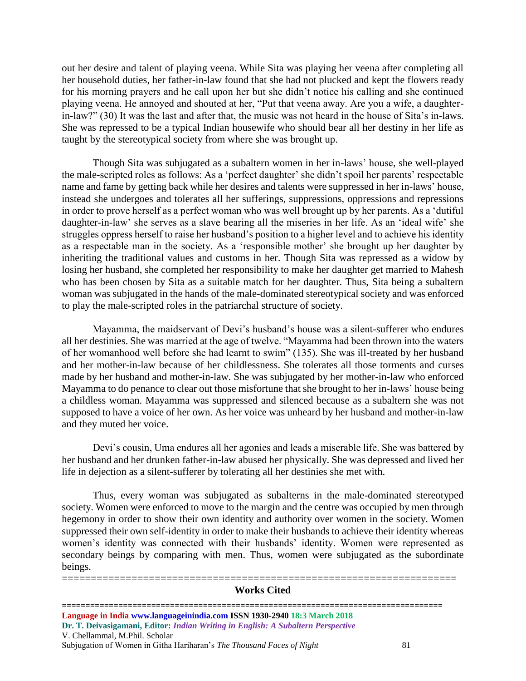out her desire and talent of playing veena. While Sita was playing her veena after completing all her household duties, her father-in-law found that she had not plucked and kept the flowers ready for his morning prayers and he call upon her but she didn't notice his calling and she continued playing veena. He annoyed and shouted at her, "Put that veena away. Are you a wife, a daughterin-law?" (30) It was the last and after that, the music was not heard in the house of Sita's in-laws. She was repressed to be a typical Indian housewife who should bear all her destiny in her life as taught by the stereotypical society from where she was brought up.

Though Sita was subjugated as a subaltern women in her in-laws' house, she well-played the male-scripted roles as follows: As a 'perfect daughter' she didn't spoil her parents' respectable name and fame by getting back while her desires and talents were suppressed in her in-laws' house, instead she undergoes and tolerates all her sufferings, suppressions, oppressions and repressions in order to prove herself as a perfect woman who was well brought up by her parents. As a 'dutiful daughter-in-law' she serves as a slave bearing all the miseries in her life. As an 'ideal wife' she struggles oppress herself to raise her husband's position to a higher level and to achieve his identity as a respectable man in the society. As a 'responsible mother' she brought up her daughter by inheriting the traditional values and customs in her. Though Sita was repressed as a widow by losing her husband, she completed her responsibility to make her daughter get married to Mahesh who has been chosen by Sita as a suitable match for her daughter. Thus, Sita being a subaltern woman was subjugated in the hands of the male-dominated stereotypical society and was enforced to play the male-scripted roles in the patriarchal structure of society.

Mayamma, the maidservant of Devi's husband's house was a silent-sufferer who endures all her destinies. She was married at the age of twelve. "Mayamma had been thrown into the waters of her womanhood well before she had learnt to swim" (135). She was ill-treated by her husband and her mother-in-law because of her childlessness. She tolerates all those torments and curses made by her husband and mother-in-law. She was subjugated by her mother-in-law who enforced Mayamma to do penance to clear out those misfortune that she brought to her in-laws' house being a childless woman. Mayamma was suppressed and silenced because as a subaltern she was not supposed to have a voice of her own. As her voice was unheard by her husband and mother-in-law and they muted her voice.

Devi's cousin, Uma endures all her agonies and leads a miserable life. She was battered by her husband and her drunken father-in-law abused her physically. She was depressed and lived her life in dejection as a silent-sufferer by tolerating all her destinies she met with.

Thus, every woman was subjugated as subalterns in the male-dominated stereotyped society. Women were enforced to move to the margin and the centre was occupied by men through hegemony in order to show their own identity and authority over women in the society. Women suppressed their own self-identity in order to make their husbands to achieve their identity whereas women's identity was connected with their husbands' identity. Women were represented as secondary beings by comparing with men. Thus, women were subjugated as the subordinate beings.

### ==================================================================== **Works Cited**

================================================================================= **Language in India www.languageinindia.com ISSN 1930-2940 18:3 March 2018 Dr. T. Deivasigamani, Editor:** *Indian Writing in English: A Subaltern Perspective* V. Chellammal, M.Phil. Scholar Subjugation of Women in Githa Hariharan's *The Thousand Faces of Night* 81